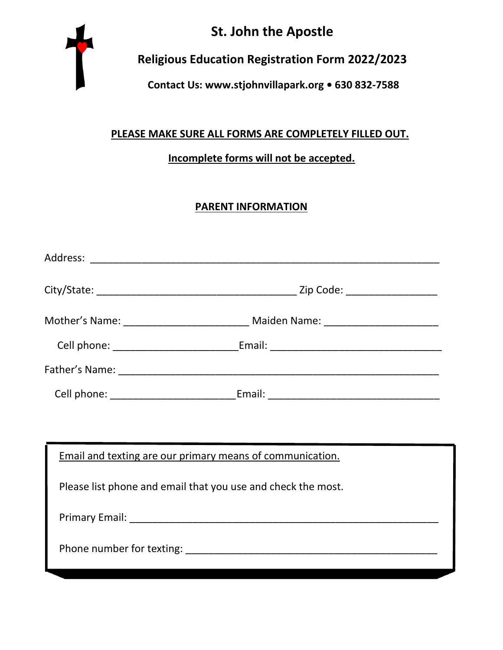

# **St. John the Apostle**

## **Religious Education Registration Form 2022/2023**

### **Contact Us: [www.stjohnvillapark.org](http://www.stjohnvillapark.org/) • 630 832-7588**

### **PLEASE MAKE SURE ALL FORMS ARE COMPLETELY FILLED OUT.**

#### **Incomplete forms will not be accepted.**

#### **PARENT INFORMATION**

|                                                              | Mother's Name: _________________________________ Maiden Name: __________________ |  |
|--------------------------------------------------------------|----------------------------------------------------------------------------------|--|
|                                                              | Cell phone: ________________________________Email: _____________________________ |  |
|                                                              |                                                                                  |  |
|                                                              | Cell phone: _________________________________Email: ____________________________ |  |
|                                                              |                                                                                  |  |
|                                                              | Email and texting are our primary means of communication.                        |  |
| Please list phone and email that you use and check the most. |                                                                                  |  |
|                                                              |                                                                                  |  |
|                                                              |                                                                                  |  |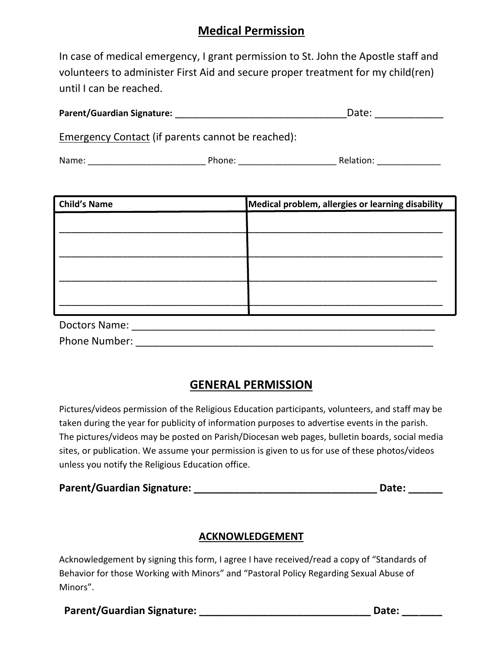## **Medical Permission**

In case of medical emergency, I grant permission to St. John the Apostle staff and volunteers to administer First Aid and secure proper treatment for my child(ren) until I can be reached.

| <b>Parent/Guardian Signature:</b> | Date: |
|-----------------------------------|-------|
|-----------------------------------|-------|

Emergency Contact (if parents cannot be reached):

| Name: | Phone: | -<br>Relation: |
|-------|--------|----------------|
|       |        |                |

| <b>Child's Name</b>  | Medical problem, allergies or learning disability |
|----------------------|---------------------------------------------------|
|                      |                                                   |
|                      |                                                   |
|                      |                                                   |
|                      |                                                   |
|                      |                                                   |
|                      |                                                   |
|                      |                                                   |
|                      |                                                   |
| <b>Doctors Name:</b> |                                                   |

Phone Number: \_\_\_\_\_\_\_\_\_\_\_\_\_\_\_\_\_\_\_\_\_\_\_\_\_\_\_\_\_\_\_\_\_\_\_\_\_\_\_\_\_\_\_\_\_\_\_\_\_\_\_\_

## **GENERAL PERMISSION**

Pictures/videos permission of the Religious Education participants, volunteers, and staff may be taken during the year for publicity of information purposes to advertise events in the parish. The pictures/videos may be posted on Parish/Diocesan web pages, bulletin boards, social media sites, or publication. We assume your permission is given to us for use of these photos/videos unless you notify the Religious Education office.

| Parent/Guardian Signature: |  | Date: |
|----------------------------|--|-------|
|----------------------------|--|-------|

#### **ACKNOWLEDGEMENT**

Acknowledgement by signing this form, I agree I have received/read a copy of "Standards of Behavior for those Working with Minors" and "Pastoral Policy Regarding Sexual Abuse of Minors".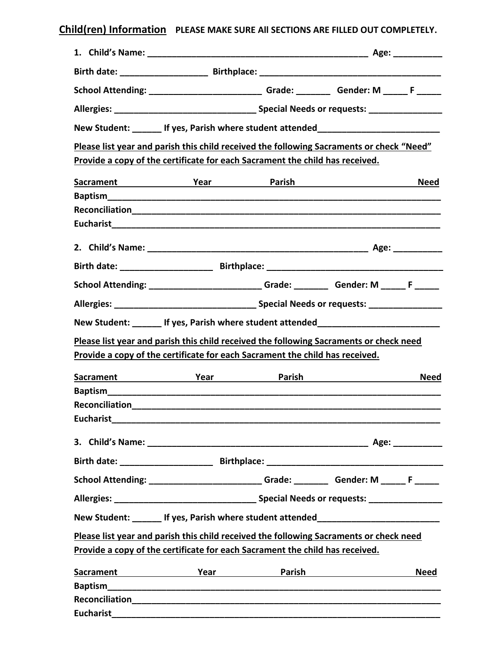## **Child(ren) Information PLEASE MAKE SURE All SECTIONS ARE FILLED OUT COMPLETELY.**

|                  | School Attending: ________________________________Grade: __________Gender: M ______F ______                            |  |             |
|------------------|------------------------------------------------------------------------------------------------------------------------|--|-------------|
|                  |                                                                                                                        |  |             |
|                  | New Student: ______ If yes, Parish where student attended_______________________                                       |  |             |
|                  | Please list year and parish this child received the following Sacraments or check "Need"                               |  |             |
|                  | Provide a copy of the certificate for each Sacrament the child has received.                                           |  |             |
|                  |                                                                                                                        |  | <b>Need</b> |
|                  |                                                                                                                        |  |             |
|                  |                                                                                                                        |  |             |
|                  |                                                                                                                        |  |             |
|                  |                                                                                                                        |  |             |
|                  |                                                                                                                        |  |             |
|                  | School Attending: ___________________________Grade: _________Gender: M ______F ______                                  |  |             |
|                  |                                                                                                                        |  |             |
|                  | New Student: ______ If yes, Parish where student attended_______________________                                       |  |             |
|                  | Please list year and parish this child received the following Sacraments or check need                                 |  |             |
|                  | Provide a copy of the certificate for each Sacrament the child has received.                                           |  |             |
|                  | Sacrament Year Year Parish                                                                                             |  | <b>Need</b> |
|                  |                                                                                                                        |  |             |
|                  |                                                                                                                        |  |             |
|                  |                                                                                                                        |  |             |
|                  |                                                                                                                        |  |             |
|                  |                                                                                                                        |  |             |
|                  |                                                                                                                        |  |             |
|                  | School Attending: ________________________Grade: _________Gender: M ______ F ______                                    |  |             |
|                  |                                                                                                                        |  |             |
|                  | New Student: ______ If yes, Parish where student attended_______________________                                       |  |             |
|                  | Please list year and parish this child received the following Sacraments or check need                                 |  |             |
|                  | Provide a copy of the certificate for each Sacrament the child has received.                                           |  |             |
| <b>Sacrament</b> | <b>Example 2018 Year Parish Parish Parish American Structure Parish Parish American Structure Parish Parish Parish</b> |  | <b>Need</b> |
|                  |                                                                                                                        |  |             |
|                  |                                                                                                                        |  |             |
|                  |                                                                                                                        |  |             |